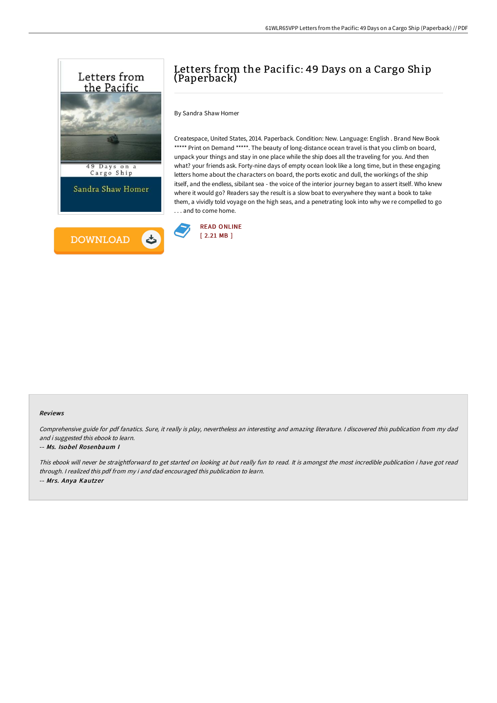

# Letters from the Pacific: 49 Days on a Cargo Ship (Paperback)

By Sandra Shaw Homer

Createspace, United States, 2014. Paperback. Condition: New. Language: English . Brand New Book \*\*\*\*\* Print on Demand \*\*\*\*\*. The beauty of long-distance ocean travel is that you climb on board, unpack your things and stay in one place while the ship does all the traveling for you. And then what? your friends ask. Forty-nine days of empty ocean look like a long time, but in these engaging letters home about the characters on board, the ports exotic and dull, the workings of the ship itself, and the endless, sibilant sea - the voice of the interior journey began to assert itself. Who knew where it would go? Readers say the result is a slow boat to everywhere they want a book to take them, a vividly told voyage on the high seas, and a penetrating look into why we re compelled to go . . . and to come home.



#### Reviews

Comprehensive guide for pdf fanatics. Sure, it really is play, nevertheless an interesting and amazing literature. <sup>I</sup> discovered this publication from my dad and i suggested this ebook to learn.

#### -- Ms. Isobel Rosenbaum I

This ebook will never be straightforward to get started on looking at but really fun to read. It is amongst the most incredible publication i have got read through. <sup>I</sup> realized this pdf from my i and dad encouraged this publication to learn. -- Mrs. Anya Kautzer